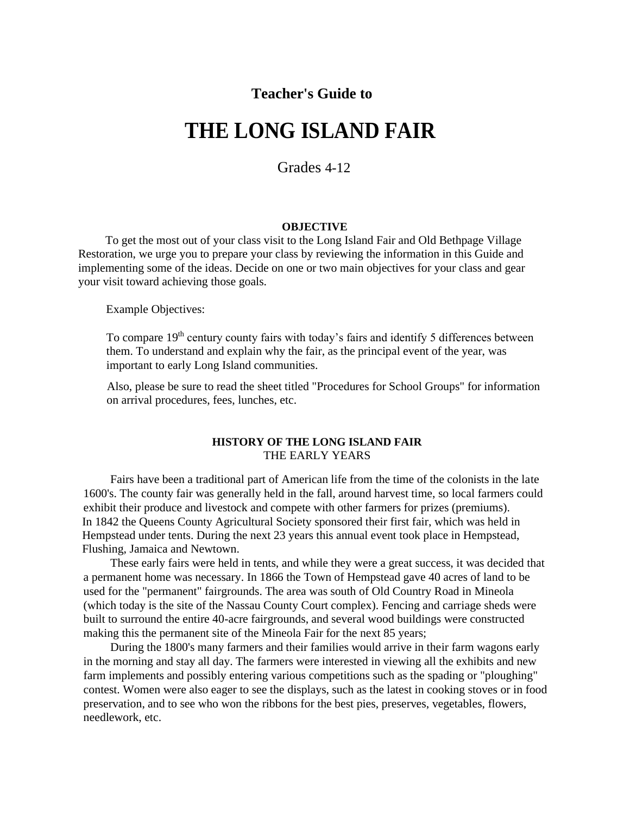### **Teacher's Guide to**

# **THE LONG ISLAND FAIR**

Grades 4-12

#### **OBJECTIVE**

To get the most out of your class visit to the Long Island Fair and Old Bethpage Village Restoration, we urge you to prepare your class by reviewing the information in this Guide and implementing some of the ideas. Decide on one or two main objectives for your class and gear your visit toward achieving those goals.

Example Objectives:

To compare 19<sup>th</sup> century county fairs with today's fairs and identify 5 differences between them. To understand and explain why the fair, as the principal event of the year, was important to early Long Island communities.

Also, please be sure to read the sheet titled "Procedures for School Groups" for information on arrival procedures, fees, lunches, etc.

#### **HISTORY OF THE LONG ISLAND FAIR**  THE EARLY YEARS

Fairs have been a traditional part of American life from the time of the colonists in the late 1600's. The county fair was generally held in the fall, around harvest time, so local farmers could exhibit their produce and livestock and compete with other farmers for prizes (premiums). In 1842 the Queens County Agricultural Society sponsored their first fair, which was held in Hempstead under tents. During the next 23 years this annual event took place in Hempstead, Flushing, Jamaica and Newtown.

These early fairs were held in tents, and while they were a great success, it was decided that a permanent home was necessary. In 1866 the Town of Hempstead gave 40 acres of land to be used for the "permanent" fairgrounds. The area was south of Old Country Road in Mineola (which today is the site of the Nassau County Court complex). Fencing and carriage sheds were built to surround the entire 40-acre fairgrounds, and several wood buildings were constructed making this the permanent site of the Mineola Fair for the next 85 years;

During the 1800's many farmers and their families would arrive in their farm wagons early in the morning and stay all day. The farmers were interested in viewing all the exhibits and new farm implements and possibly entering various competitions such as the spading or "ploughing" contest. Women were also eager to see the displays, such as the latest in cooking stoves or in food preservation, and to see who won the ribbons for the best pies, preserves, vegetables, flowers, needlework, etc.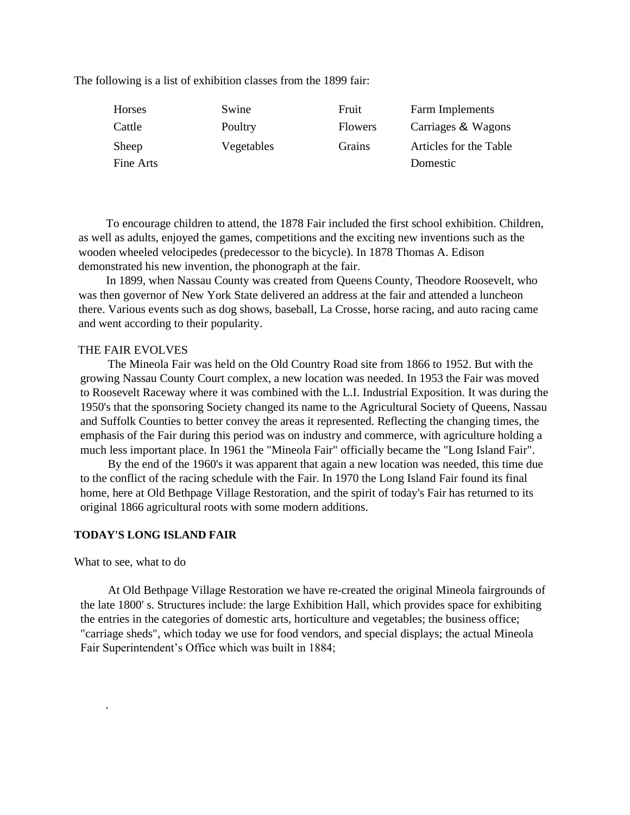The following is a list of exhibition classes from the 1899 fair:

| Horses    | Swine      | Fruit          | Farm Implements        |
|-----------|------------|----------------|------------------------|
| Cattle    | Poultry    | <b>Flowers</b> | Carriages & Wagons     |
| Sheep     | Vegetables | Grains         | Articles for the Table |
| Fine Arts |            |                | Domestic               |

To encourage children to attend, the 1878 Fair included the first school exhibition. Children, as well as adults, enjoyed the games, competitions and the exciting new inventions such as the wooden wheeled velocipedes (predecessor to the bicycle). In 1878 Thomas A. Edison demonstrated his new invention, the phonograph at the fair.

In 1899, when Nassau County was created from Queens County, Theodore Roosevelt, who was then governor of New York State delivered an address at the fair and attended a luncheon there. Various events such as dog shows, baseball, La Crosse, horse racing, and auto racing came and went according to their popularity.

#### THE FAIR EVOLVES

The Mineola Fair was held on the Old Country Road site from 1866 to 1952. But with the growing Nassau County Court complex, a new location was needed. In 1953 the Fair was moved to Roosevelt Raceway where it was combined with the L.I. Industrial Exposition. It was during the 1950's that the sponsoring Society changed its name to the Agricultural Society of Queens, Nassau and Suffolk Counties to better convey the areas it represented. Reflecting the changing times, the emphasis of the Fair during this period was on industry and commerce, with agriculture holding a much less important place. In 1961 the "Mineola Fair" officially became the "Long Island Fair".

By the end of the 1960's it was apparent that again a new location was needed, this time due to the conflict of the racing schedule with the Fair. In 1970 the Long Island Fair found its final home, here at Old Bethpage Village Restoration, and the spirit of today's Fair has returned to its original 1866 agricultural roots with some modern additions.

#### **TODAY'S LONG ISLAND FAIR**

What to see, what to do

.

At Old Bethpage Village Restoration we have re-created the original Mineola fairgrounds of the late 1800' s. Structures include: the large Exhibition Hall, which provides space for exhibiting the entries in the categories of domestic arts, horticulture and vegetables; the business office; "carriage sheds", which today we use for food vendors, and special displays; the actual Mineola Fair Superintendent's Office which was built in 1884;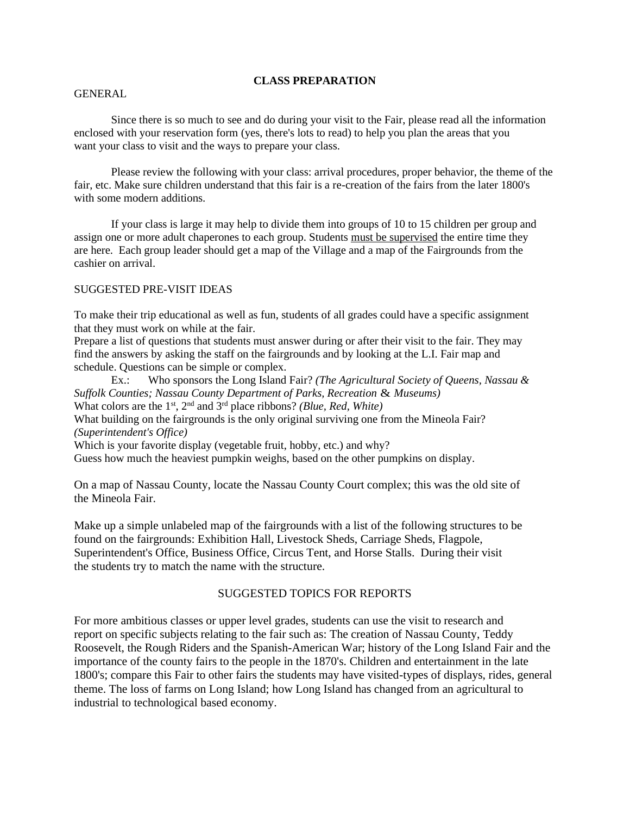#### **CLASS PREPARATION**

#### GENERAL

Since there is so much to see and do during your visit to the Fair, please read all the information enclosed with your reservation form (yes, there's lots to read) to help you plan the areas that you want your class to visit and the ways to prepare your class.

Please review the following with your class: arrival procedures, proper behavior, the theme of the fair, etc. Make sure children understand that this fair is a re-creation of the fairs from the later 1800's with some modern additions.

If your class is large it may help to divide them into groups of 10 to 15 children per group and assign one or more adult chaperones to each group. Students must be supervised the entire time they are here. Each group leader should get a map of the Village and a map of the Fairgrounds from the cashier on arrival.

#### SUGGESTED PRE-VISIT IDEAS

To make their trip educational as well as fun, students of all grades could have a specific assignment that they must work on while at the fair.

Prepare a list of questions that students must answer during or after their visit to the fair. They may find the answers by asking the staff on the fairgrounds and by looking at the L.I. Fair map and schedule. Questions can be simple or complex.

Ex.: Who sponsors the Long Island Fair? *(The Agricultural Society of Queens, Nassau & Suffolk Counties; Nassau County Department of Parks, Recreation* & *Museums)*  What colors are the 1<sup>st</sup>, 2<sup>nd</sup> and 3<sup>rd</sup> place ribbons? *(Blue, Red, White)* What building on the fairgrounds is the only original surviving one from the Mineola Fair? *(Superintendent's Office)*  Which is your favorite display (vegetable fruit, hobby, etc.) and why? Guess how much the heaviest pumpkin weighs, based on the other pumpkins on display.

On a map of Nassau County, locate the Nassau County Court complex; this was the old site of the Mineola Fair.

Make up a simple unlabeled map of the fairgrounds with a list of the following structures to be found on the fairgrounds: Exhibition Hall, Livestock Sheds, Carriage Sheds, Flagpole, Superintendent's Office, Business Office, Circus Tent, and Horse Stalls. During their visit the students try to match the name with the structure.

#### SUGGESTED TOPICS FOR REPORTS

For more ambitious classes or upper level grades, students can use the visit to research and report on specific subjects relating to the fair such as: The creation of Nassau County, Teddy Roosevelt, the Rough Riders and the Spanish-American War; history of the Long Island Fair and the importance of the county fairs to the people in the 1870's. Children and entertainment in the late 1800's; compare this Fair to other fairs the students may have visited-types of displays, rides, general theme. The loss of farms on Long Island; how Long Island has changed from an agricultural to industrial to technological based economy.